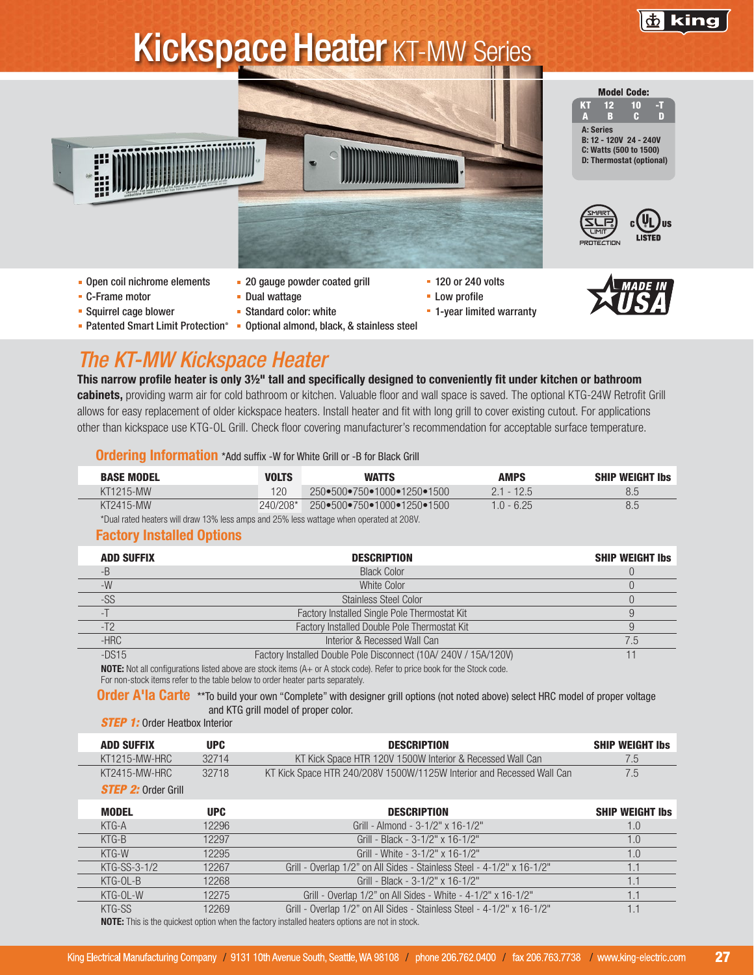

# **Kickspace Heater KT-MW Series**



- C-Frame motor
- **Squirrel cage blower**
- 
- **Dual wattage**
- Standard color: white
- 
- Patented Smart Limit Protection<sup>®</sup> Optional almond, black, & stainless steel



## *The KT-MW Kickspace Heater*

This narrow profile heater is only 3½" tall and specifically designed to conveniently fit under kitchen or bathroom cabinets, providing warm air for cold bathroom or kitchen. Valuable floor and wall space is saved. The optional KTG-24W Retrofit Grill allows for easy replacement of older kickspace heaters. Install heater and fit with long grill to cover existing cutout. For applications other than kickspace use KTG-OL Grill. Check floor covering manufacturer's recommendation for acceptable surface temperature.

**- 1-year limited warranty** 

#### **Ordering Information** \*Add suffix -W for White Grill or -B for Black Grill

| <b>BASE MODEL</b>                                                                       | <b>VOLTS</b> | <b>WATTS</b>               | <b>AMPS</b>  | <b>SHIP WEIGHT Ibs</b> |
|-----------------------------------------------------------------------------------------|--------------|----------------------------|--------------|------------------------|
| KT1215-MW                                                                               | 120          | 250●500●750●1000●1250●1500 | $2.1 - 12.5$ | 8.5                    |
| KT2415-MW                                                                               | $240/208$ *  | 250•500•750•1000•1250•1500 | $1.0 - 6.25$ | 8.5                    |
| *Dual rated heaters will draw 13% less amps and 25% less wattage when operated at 208V. |              |                            |              |                        |

### Factory Installed Options

| <b>ADD SUFFIX</b> | <b>DESCRIPTION</b>                                                                                                      | <b>SHIP WEIGHT Ibs</b> |
|-------------------|-------------------------------------------------------------------------------------------------------------------------|------------------------|
| -В                | <b>Black Color</b>                                                                                                      |                        |
| $-W$              | White Color                                                                                                             |                        |
| -SS               | Stainless Steel Color                                                                                                   |                        |
|                   | Factory Installed Single Pole Thermostat Kit                                                                            |                        |
|                   | Factory Installed Double Pole Thermostat Kit                                                                            |                        |
| $-HRC$            | Interior & Recessed Wall Can                                                                                            | 7.5                    |
| $-DS15$           | Factory Installed Double Pole Disconnect (10A/ 240V / 15A/120V)                                                         |                        |
|                   | NOTE: Not all configurations listed above are stock items (A), or A stock sode). Peter to price book for the Stock sode |                        |

 $\,$  configurations listed above are stock items (A+ or A stock code). Refer to price book for the Stock code. For non-stock items refer to the table below to order heater parts separately.

Order A'la Carte \*\*To build your own "Complete" with designer grill options (not noted above) select HRC model of proper voltage and KTG grill model of proper color.

*STEP 1:* Order Heatbox Interior

| <b>ADD SUFFIX</b>          | UPC.  | <b>DESCRIPTION</b>                                                    | <b>SHIP WEIGHT Ibs</b> |
|----------------------------|-------|-----------------------------------------------------------------------|------------------------|
| KT1215-MW-HRC              | 32714 | KT Kick Space HTR 120V 1500W Interior & Recessed Wall Can             | $\mathcal{L}$ .        |
| KT2415-MW-HRC              | 32718 | KT Kick Space HTR 240/208V 1500W/1125W Interior and Recessed Wall Can | 7.5                    |
| <b>STEP 2:</b> Order Grill |       |                                                                       |                        |

| <b>MODEL</b> | <b>UPC</b> | <b>DESCRIPTION</b>                                                                           | <b>SHIP WEIGHT Ibs</b> |
|--------------|------------|----------------------------------------------------------------------------------------------|------------------------|
| KTG-A        | 12296      | Grill - Almond - 3-1/2" x 16-1/2"                                                            | 1.0                    |
| KTG-B        | 12297      | Grill - Black - 3-1/2" x 16-1/2"                                                             | 1.0                    |
| KTG-W        | 12295      | Grill - White - 3-1/2" x 16-1/2"                                                             | 1.0                    |
| KTG-SS-3-1/2 | 12267      | Grill - Overlap 1/2" on All Sides - Stainless Steel - 4-1/2" x 16-1/2"                       | 1.1                    |
| KTG-OL-B     | 12268      | Grill - Black - 3-1/2" x 16-1/2"                                                             |                        |
| KTG-OL-W     | 12275      | Grill - Overlap 1/2" on All Sides - White - 4-1/2" x 16-1/2"                                 |                        |
| KTG-SS       | 12269      | Grill - Overlap 1/2" on All Sides - Stainless Steel - 4-1/2" x 16-1/2"                       |                        |
|              |            | NOTE, This is the quickest entire when the fector upstalled besters entires are not in steak |                        |

NOTE: This is the quickest option when the factory installed heaters options are not in stock.